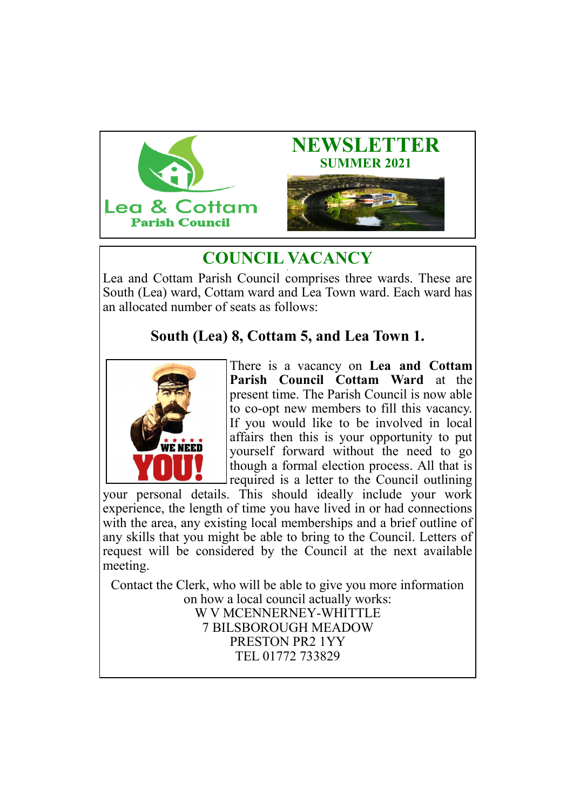



#### **COUNCIL VACANCY ,**

Lea and Cottam Parish Council comprises three wards. These are South (Lea) ward, Cottam ward and Lea Town ward. Each ward has an allocated number of seats as follows:

# **South (Lea) 8, Cottam 5, and Lea Town 1.**



There is a vacancy on **Lea and Cottam Parish Council Cottam Ward** at the present time. The Parish Council is now able to co-opt new members to fill this vacancy. If you would like to be involved in local affairs then this is your opportunity to put yourself forward without the need to go though a formal election process. All that is required is a letter to the Council outlining

your personal details. This should ideally include your work experience, the length of time you have lived in or had connections with the area, any existing local memberships and a brief outline of any skills that you might be able to bring to the Council. Letters of request will be considered by the Council at the next available meeting.

Contact the Clerk, who will be able to give you more information on how a local council actually works: W V MCENNERNEY-WHITTLE 7 BILSBOROUGH MEADOW PRESTON PR2 1YY TEL 01772 733829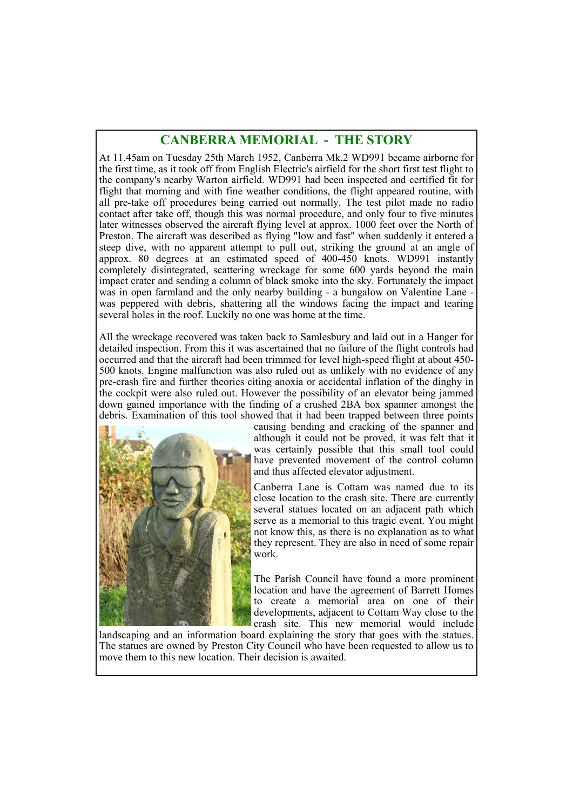## **CANBERRA MEMORIAL - THE STORY**

At 11.45am on Tuesday 25th March 1952, Canberra Mk.2 WD991 became airborne for the first time, as it took off from English Electric's airfield for the short first test flight to the company's nearby Warton airfield. WD991 had been inspected and certified fit for flight that morning and with fine weather conditions, the flight appeared routine, with all pre-take off procedures being carried out normally. The test pilot made no radio contact after take off, though this was normal procedure, and only four to five minutes later witnesses observed the aircraft flying level at approx. 1000 feet over the North of Preston. The aircraft was described as flying "low and fast" when suddenly it entered a steep dive, with no apparent attempt to pull out, striking the ground at an angle of approx. 80 degrees at an estimated speed of 400-450 knots. WD991 instantly completely disintegrated, scattering wreckage for some 600 yards beyond the main impact crater and sending a column of black smoke into the sky. Fortunately the impact was in open farmland and the only nearby building - a bungalow on Valentine Lane was peppered with debris, shattering all the windows facing the impact and tearing several holes in the roof. Luckily no one was home at the time.

All the wreckage recovered was taken back to Samlesbury and laid out in a Hanger for detailed inspection. From this it was ascertained that no failure of the flight controls had occurred and that the aircraft had been trimmed for level high-speed flight at about 450- 500 knots. Engine malfunction was also ruled out as unlikely with no evidence of any pre-crash fire and further theories citing anoxia or accidental inflation of the dinghy in the cockpit were also ruled out. However the possibility of an elevator being jammed down gained importance with the finding of a crushed 2BA box spanner amongst the debris. Examination of this tool showed that it had been trapped between three points



causing bending and cracking of the spanner and although it could not be proved, it was felt that it was certainly possible that this small tool could have prevented movement of the control column and thus affected elevator adjustment.

Canberra Lane is Cottam was named due to its close location to the crash site. There are currently several statues located on an adjacent path which serve as a memorial to this tragic event. You might not know this, as there is no explanation as to what they represent. They are also in need of some repair work.

The Parish Council have found a more prominent location and have the agreement of Barrett Homes to create a memorial area on one of their developments, adjacent to Cottam Way close to the crash site. This new memorial would include

landscaping and an information board explaining the story that goes with the statues. The statues are owned by Preston City Council who have been requested to allow us to move them to this new location. Their decision is awaited.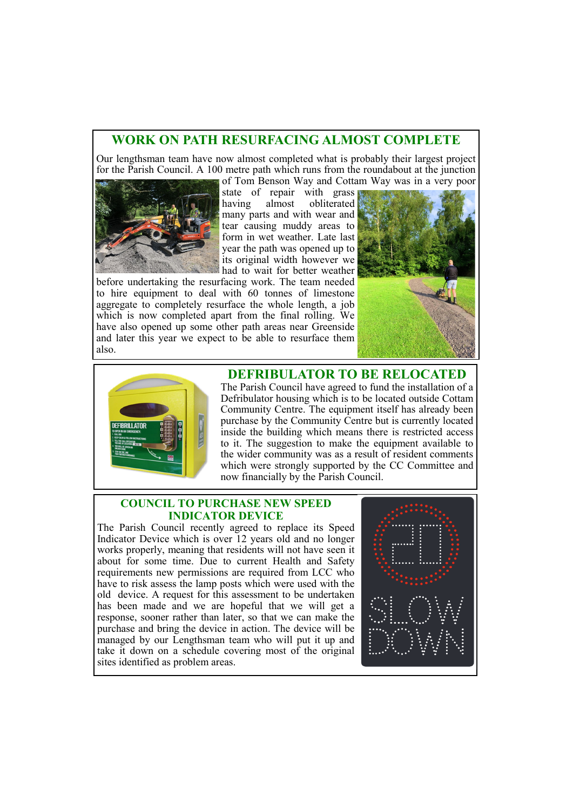### **WORK ON PATH RESURFACING ALMOST COMPLETE**

Our lengthsman team have now almost completed what is probably their largest project for the Parish Council. A 100 metre path which runs from the roundabout at the junction of Tom Benson Way and Cottam Way was in a very poor



state of repair with grass having almost obliterated many parts and with wear and tear causing muddy areas to form in wet weather. Late last year the path was opened up to its original width however we had to wait for better weather

before undertaking the resurfacing work. The team needed to hire equipment to deal with 60 tonnes of limestone aggregate to completely resurface the whole length, a job which is now completed apart from the final rolling. We have also opened up some other path areas near Greenside and later this year we expect to be able to resurface them also.





**DEFRIBULATOR TO BE RELOCATED**

The Parish Council have agreed to fund the installation of a Defribulator housing which is to be located outside Cottam Community Centre. The equipment itself has already been purchase by the Community Centre but is currently located inside the building which means there is restricted access to it. The suggestion to make the equipment available to the wider community was as a result of resident comments which were strongly supported by the CC Committee and now financially by the Parish Council.

#### **COUNCIL TO PURCHASE NEW SPEED INDICATOR DEVICE**

The Parish Council recently agreed to replace its Speed Indicator Device which is over 12 years old and no longer works properly, meaning that residents will not have seen it about for some time. Due to current Health and Safety requirements new permissions are required from LCC who have to risk assess the lamp posts which were used with the old device. A request for this assessment to be undertaken has been made and we are hopeful that we will get a response, sooner rather than later, so that we can make the purchase and bring the device in action. The device will be managed by our Lengthsman team who will put it up and take it down on a schedule covering most of the original sites identified as problem areas.